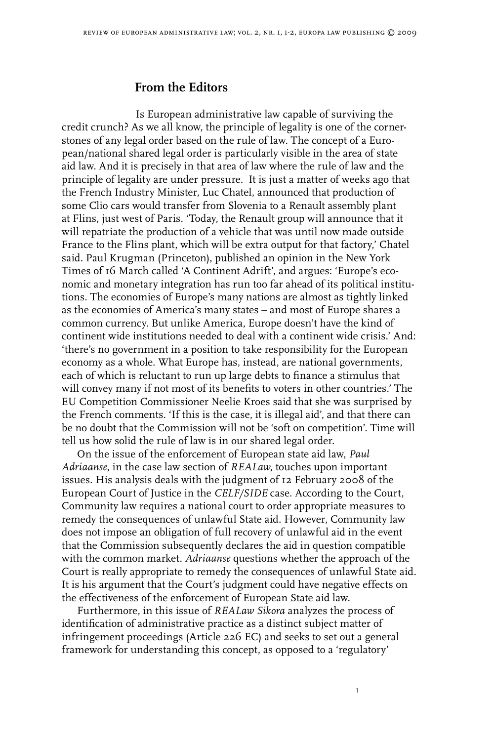## **From the Editors**

Is European administrative law capable of surviving the credit crunch? As we all know, the principle of legality is one of the cornerstones of any legal order based on the rule of law. The concept of a European/national shared legal order is particularly visible in the area of state aid law. And it is precisely in that area of law where the rule of law and the principle of legality are under pressure. It is just a matter of weeks ago that the French Industry Minister, Luc Chatel, announced that production of some Clio cars would transfer from Slovenia to a Renault assembly plant at Flins, just west of Paris. 'Today, the Renault group will announce that it will repatriate the production of a vehicle that was until now made outside France to the Flins plant, which will be extra output for that factory,' Chatel said. Paul Krugman (Princeton), published an opinion in the New York Times of 16 March called 'A Continent Adrift', and argues: 'Europe's economic and monetary integration has run too far ahead of its political institutions. The economies of Europe's many nations are almost as tightly linked as the economies of America's many states – and most of Europe shares a common currency. But unlike America, Europe doesn't have the kind of continent wide institutions needed to deal with a continent wide crisis.' And: 'there's no government in a position to take responsibility for the European economy as a whole. What Europe has, instead, are national governments, each of which is reluctant to run up large debts to finance a stimulus that will convey many if not most of its benefits to voters in other countries.' The EU Competition Commissioner Neelie Kroes said that she was surprised by the French comments. 'If this is the case, it is illegal aid', and that there can be no doubt that the Commission will not be 'soft on competition'. Time will tell us how solid the rule of law is in our shared legal order.

On the issue of the enforcement of European state aid law, *Paul Adriaanse*, in the case law section of *REALaw*, touches upon important issues. His analysis deals with the judgment of 12 February 2008 of the European Court of Justice in the *CELF/SIDE* case. According to the Court, Community law requires a national court to order appropriate measures to remedy the consequences of unlawful State aid. However, Community law does not impose an obligation of full recovery of unlawful aid in the event that the Commission subsequently declares the aid in question compatible with the common market. *Adriaanse* questions whether the approach of the Court is really appropriate to remedy the consequences of unlawful State aid. It is his argument that the Court's judgment could have negative effects on the effectiveness of the enforcement of European State aid law.

Furthermore, in this issue of *REALaw Sikora* analyzes the process of identification of administrative practice as a distinct subject matter of infringement proceedings (Article 226 EC) and seeks to set out a general framework for understanding this concept, as opposed to a 'regulatory'

 $\mathbf{I}$